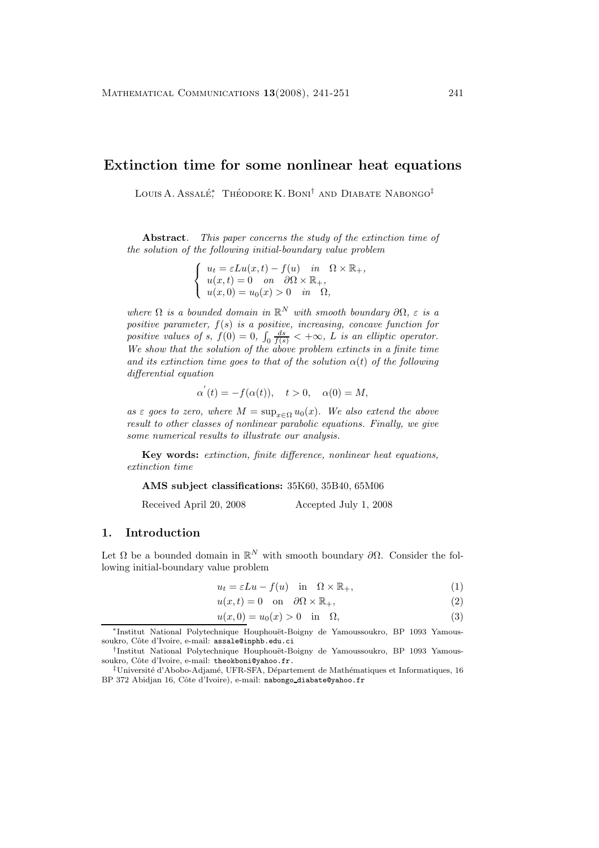## **Extinction time for some nonlinear heat equations**

Louis A. Assalé<sup>\*</sup> Théodore K. Boni<sup>†</sup> and Diabate Nabongo<sup>‡</sup>

**Abstract***. This paper concerns the study of the extinction time of the solution of the following initial-boundary value problem*

$$
\begin{cases}\n u_t = \varepsilon Lu(x, t) - f(u) & \text{in } \Omega \times \mathbb{R}_+, \\
 u(x, t) = 0 & \text{on } \partial\Omega \times \mathbb{R}_+, \\
 u(x, 0) = u_0(x) > 0 & \text{in } \Omega,\n\end{cases}
$$

*where*  $\Omega$  *is a bounded domain in*  $\mathbb{R}^N$  *with smooth boundary*  $\partial\Omega$ *, ε is a positive parameter,* f(s) *is a positive, increasing, concave function for* positive values of s,  $f(0) = 0$ ,  $\int_0 \frac{ds}{f(s)} < +\infty$ , L is an elliptic operator. *We show that the solution of the above problem extincts in a finite time and its extinction time goes to that of the solution*  $\alpha(t)$  *of the following differential equation*

$$
\alpha^{'}(t) = -f(\alpha(t)), \quad t > 0, \quad \alpha(0) = M,
$$

*as*  $\varepsilon$  *goes to zero, where*  $M = \sup_{x \in \Omega} u_0(x)$ *. We also extend the above result to other classes of nonlinear parabolic equations. Finally, we give some numerical results to illustrate our analysis.*

**Key words:** *extinction, finite difference, nonlinear heat equations, extinction time*

**AMS subject classifications:** 35K60, 35B40, 65M06

Received April 20, 2008 Accepted July 1, 2008

#### **1. Introduction**

Let  $\Omega$  be a bounded domain in  $\mathbb{R}^N$  with smooth boundary  $\partial\Omega$ . Consider the following initial-boundary value problem

$$
u_t = \varepsilon Lu - f(u) \quad \text{in} \quad \Omega \times \mathbb{R}_+, \tag{1}
$$

$$
u(x,t) = 0 \quad \text{on} \quad \partial\Omega \times \mathbb{R}_+, \tag{2}
$$

$$
u(x,0) = u_0(x) > 0 \quad \text{in} \quad \Omega,\tag{3}
$$

∗Institut National Polytechnique Houphou¨et-Boigny de Yamoussoukro, BP 1093 Yamoussoukro, Côte d'Ivoire, e-mail: assale@inphb.edu.ci

<sup>&</sup>lt;sup>†</sup>Institut National Polytechnique Houphouët-Boigny de Yamoussoukro, BP 1093 Yamoussoukro, Côte d'Ivoire, e-mail: theokboni@yahoo.fr.

 $\textsuperscript{1}$ Université d'Abobo-Adjamé, UFR-SFA, Département de Mathématiques et Informatiques, 16 BP 372 Abidjan 16, Côte d'Ivoire), e-mail: nabongo\_diabate@yahoo.fr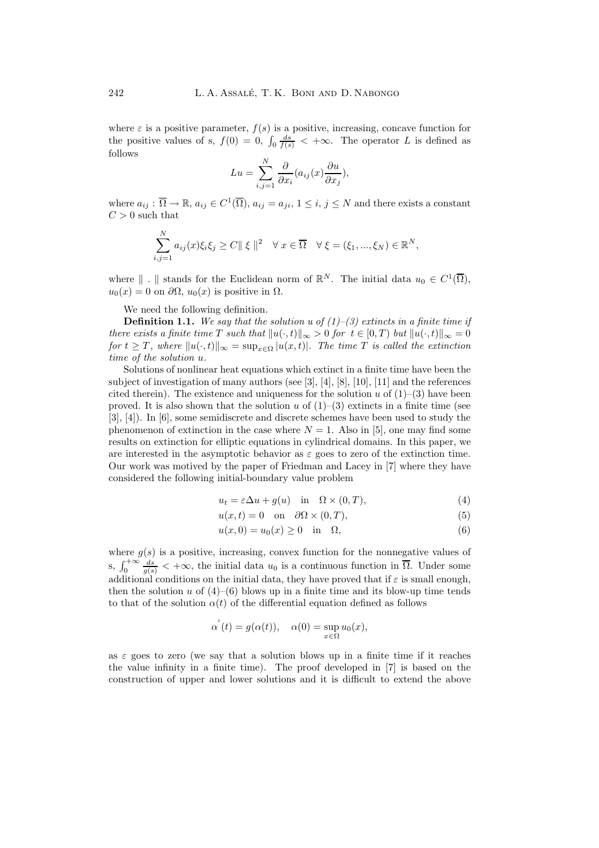where  $\varepsilon$  is a positive parameter,  $f(s)$  is a positive, increasing, concave function for the positive values of s,  $f(0) = 0$ ,  $\int_0 \frac{ds}{f(s)} < +\infty$ . The operator L is defined as follows

$$
Lu = \sum_{i,j=1}^{N} \frac{\partial}{\partial x_i} (a_{ij}(x) \frac{\partial u}{\partial x_j}),
$$

where  $a_{ij}: \overline{\Omega} \to \mathbb{R}$ ,  $a_{ij} \in C^1(\overline{\Omega})$ ,  $a_{ij} = a_{ji}$ ,  $1 \le i, j \le N$  and there exists a constant  $C > 0$  such that

$$
\sum_{i,j=1}^N a_{ij}(x)\xi_i\xi_j \ge C \|\xi\|^2 \quad \forall \ x \in \overline{\Omega} \quad \forall \ \xi = (\xi_1, ..., \xi_N) \in \mathbb{R}^N,
$$

where  $\| \cdot \|$  stands for the Euclidean norm of  $\mathbb{R}^N$ . The initial data  $u_0 \in C^1(\overline{\Omega})$ ,  $u_0(x) = 0$  on  $\partial\Omega$ ,  $u_0(x)$  is positive in  $\Omega$ .

We need the following definition.

**Definition 1.1.** *We say that the solution u of (1)–(3) extincts in a finite time if there exists a finite time* T *such that*  $||u(\cdot,t)||_{\infty} > 0$  *for*  $t \in [0,T)$  *but*  $||u(\cdot,t)||_{\infty} = 0$ *for*  $t \geq T$ *, where*  $||u(\cdot,t)||_{\infty} = \sup_{x \in \Omega} |u(x,t)|$ *. The time* T *is called the extinction time of the solution* u*.*

Solutions of nonlinear heat equations which extinct in a finite time have been the subject of investigation of manyauthors (see [3], [4], [8], [10], [11] and the references cited therein). The existence and uniqueness for the solution  $u$  of  $(1)-(3)$  have been proved. It is also shown that the solution u of  $(1)-(3)$  extincts in a finite time (see  $[3], [4]$ ). In  $[6]$ , some semidiscrete and discrete schemes have been used to study the phenomenon of extinction in the case where  $N = 1$ . Also in [5], one may find some results on extinction for elliptic equations in cylindrical domains. In this paper, we are interested in the asymptotic behavior as  $\varepsilon$  goes to zero of the extinction time. Our work was motived by the paper of Friedman and Lacey in [7] where they have considered the following initial-boundary value problem

$$
u_t = \varepsilon \Delta u + g(u) \quad \text{in} \quad \Omega \times (0, T), \tag{4}
$$

$$
u(x,t) = 0 \quad \text{on} \quad \partial\Omega \times (0,T), \tag{5}
$$

$$
u(x,0) = u_0(x) \ge 0 \quad \text{in} \quad \Omega,\tag{6}
$$

where  $g(s)$  is a positive, increasing, convex function for the nonnegative values of s,  $\int_0^{+\infty} \frac{ds}{g(s)} < +\infty$ , the initial data  $u_0$  is a continuous function in  $\overline{\Omega}$ . Under some additional conditions on the initial data, they have proved that if  $\varepsilon$  is small enough, then the solution u of  $(4)$ – $(6)$  blows up in a finite time and its blow-up time tends to that of the solution  $\alpha(t)$  of the differential equation defined as follows

$$
\alpha'(t) = g(\alpha(t)), \quad \alpha(0) = \sup_{x \in \Omega} u_0(x),
$$

as  $\varepsilon$  goes to zero (we say that a solution blows up in a finite time if it reaches the value infinity in a finite time). The proof developed in  $[7]$  is based on the construction of upper and lower solutions and it is difficult to extend the above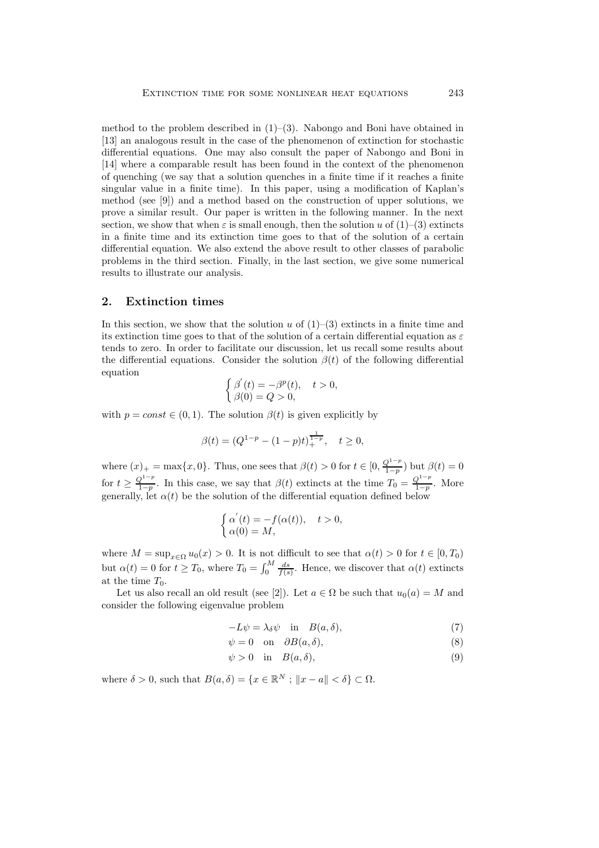method to the problem described in  $(1)$ – $(3)$ . Nabongo and Boni have obtained in [13] an analogous result in the case of the phenomenon of extinction for stochastic differential equations. One mayalso consult the paper of Nabongo and Boni in [14] where a comparable result has been found in the context of the phenomenon of quenching (we saythat a solution quenches in a finite time if it reaches a finite singular value in a finite time). In this paper, using a modification of Kaplan's method (see [9]) and a method based on the construction of upper solutions, we prove a similar result. Our paper is written in the following manner. In the next section, we show that when  $\varepsilon$  is small enough, then the solution u of  $(1)-(3)$  extincts in a finite time and its extinction time goes to that of the solution of a certain differential equation. We also extend the above result to other classes of parabolic problems in the third section. Finally, in the last section, we give some numerical results to illustrate our analysis.

#### **2. Extinction times**

In this section, we show that the solution u of  $(1)-(3)$  extincts in a finite time and its extinction time goes to that of the solution of a certain differential equation as  $\varepsilon$ tends to zero. In order to facilitate our discussion, let us recall some results about the differential equations. Consider the solution  $\beta(t)$  of the following differential equation

$$
\begin{cases}\n\beta'(t) = -\beta^p(t), & t > 0, \\
\beta(0) = Q > 0,\n\end{cases}
$$

with  $p = const \in (0, 1)$ . The solution  $\beta(t)$  is given explicitly by

$$
\beta(t) = (Q^{1-p} - (1-p)t)^{\frac{1}{1-p}}_+, \quad t \ge 0,
$$

where  $(x)_+ = \max\{x, 0\}$ . Thus, one sees that  $\beta(t) > 0$  for  $t \in [0, \frac{Q^{1-p}}{1-p})$  but  $\beta(t) = 0$ for  $t \geq \frac{Q^{1-p}}{1-p}$ . In this case, we say that  $\beta(t)$  extincts at the time  $T_0 = \frac{Q^{1-p}}{1-p}$ . More generally, let  $\alpha(t)$  be the solution of the differential equation defined below

$$
\begin{cases}\n\alpha'(t) = -f(\alpha(t)), & t > 0, \\
\alpha(0) = M,\n\end{cases}
$$

where  $M = \sup_{x \in \Omega} u_0(x) > 0$ . It is not difficult to see that  $\alpha(t) > 0$  for  $t \in [0, T_0)$ but  $\alpha(t) = 0$  for  $t \geq T_0$ , where  $T_0 = \int_0^M \frac{ds}{f(s)}$ . Hence, we discover that  $\alpha(t)$  extincts at the time  $T_0$ .

Let us also recall an old result (see [2]). Let  $a \in \Omega$  be such that  $u_0(a) = M$  and consider the following eigenvalue problem

$$
-L\psi = \lambda_{\delta}\psi \quad \text{in} \quad B(a,\delta), \tag{7}
$$

$$
\psi = 0 \quad \text{on} \quad \partial B(a, \delta), \tag{8}
$$

$$
\psi > 0 \quad \text{in} \quad B(a, \delta), \tag{9}
$$

where  $\delta > 0$ , such that  $B(a, \delta) = \{x \in \mathbb{R}^N : ||x - a|| < \delta\} \subset \Omega$ .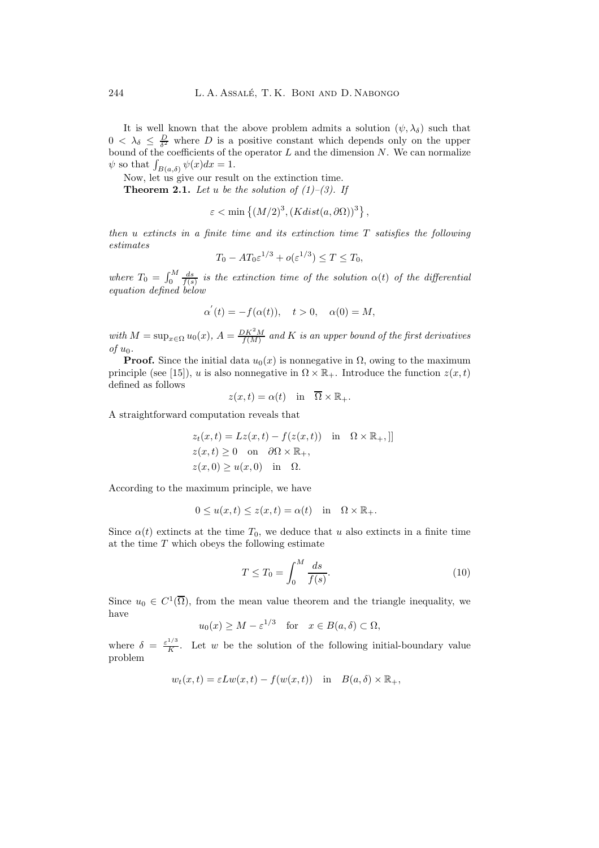It is well known that the above problem admits a solution  $(\psi, \lambda_{\delta})$  such that  $0 < \lambda_{\delta} \leq \frac{D}{\delta^2}$  where D is a positive constant which depends only on the upper bound of the coefficients of the operator  $L$  and the dimension  $N$ . We can normalize  $\psi$  so that  $\int_{B(a,\delta)} \psi(x) dx = 1$ .

Now, let us give our result on the extinction time.

**Theorem 2.1.** Let u be the solution of  $(1)-(3)$ . If

$$
\varepsilon < \min\left\{ (M/2)^3, (Kdist(a, \partial \Omega))^3 \right\},\
$$

*then* u *extincts in a finite time and its extinction time* T *satisfies the following estimates*

$$
T_0 - AT_0\varepsilon^{1/3} + o(\varepsilon^{1/3}) \le T \le T_0,
$$

where  $T_0 = \int_0^M \frac{ds}{f(s)}$  is the extinction time of the solution  $\alpha(t)$  of the differential *equation defined below*

$$
\alpha^{'}(t) = -f(\alpha(t)), \quad t > 0, \quad \alpha(0) = M,
$$

with  $M = \sup_{x \in \Omega} u_0(x)$ ,  $A = \frac{DK^2M}{f(M)}$  and K is an upper bound of the first derivatives *of*  $u_0$ *.* 

**Proof.** Since the initial data  $u_0(x)$  is nonnegative in  $\Omega$ , owing to the maximum principle (see [15]), u is also nonnegative in  $\Omega \times \mathbb{R}_+$ . Introduce the function  $z(x, t)$ defined as follows

$$
z(x,t) = \alpha(t)
$$
 in  $\overline{\Omega} \times \mathbb{R}_+$ .

A straightforward computation reveals that

$$
z_t(x,t) = Lz(x,t) - f(z(x,t)) \text{ in } \Omega \times \mathbb{R}_+, []
$$
  
 
$$
z(x,t) \ge 0 \text{ on } \partial\Omega \times \mathbb{R}_+,
$$
  
 
$$
z(x,0) \ge u(x,0) \text{ in } \Omega.
$$

According to the maximum principle, we have

$$
0 \le u(x, t) \le z(x, t) = \alpha(t) \quad \text{in} \quad \Omega \times \mathbb{R}_+.
$$

Since  $\alpha(t)$  extincts at the time  $T_0$ , we deduce that u also extincts in a finite time at the time  $T$  which obeys the following estimate

$$
T \le T_0 = \int_0^M \frac{ds}{f(s)}.\tag{10}
$$

Since  $u_0 \in C^1(\overline{\Omega})$ , from the mean value theorem and the triangle inequality, we have

$$
u_0(x) \ge M - \varepsilon^{1/3}
$$
 for  $x \in B(a, \delta) \subset \Omega$ ,

where  $\delta = \frac{\varepsilon^{1/3}}{K}$ . Let w be the solution of the following initial-boundary value problem

$$
w_t(x,t) = \varepsilon L w(x,t) - f(w(x,t))
$$
 in  $B(a, \delta) \times \mathbb{R}_+,$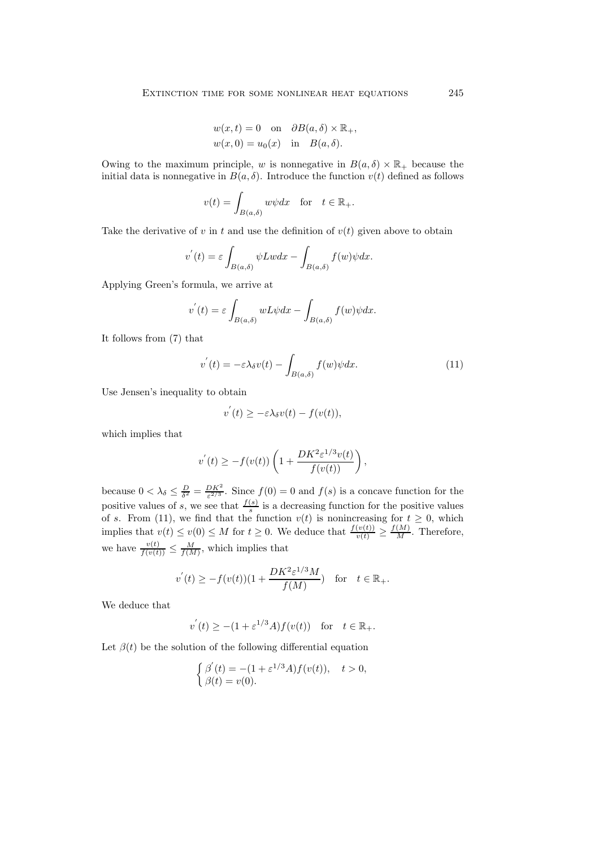$$
w(x,t) = 0 \text{ on } \partial B(a,\delta) \times \mathbb{R}_+,
$$
  

$$
w(x,0) = u_0(x) \text{ in } B(a,\delta).
$$

Owing to the maximum principle, w is nonnegative in  $B(a, \delta) \times \mathbb{R}_+$  because the initial data is nonnegative in  $B(a, \delta)$ . Introduce the function  $v(t)$  defined as follows

$$
v(t) = \int_{B(a,\delta)} w\psi dx \quad \text{for} \quad t \in \mathbb{R}_+.
$$

Take the derivative of v in t and use the definition of  $v(t)$  given above to obtain

$$
v^{'}(t) = \varepsilon \int_{B(a,\delta)} \psi Lw dx - \int_{B(a,\delta)} f(w) \psi dx.
$$

Applying Green's formula, we arrive at

$$
v^{'}(t) = \varepsilon \int_{B(a,\delta)} w L \psi dx - \int_{B(a,\delta)} f(w) \psi dx.
$$

It follows from (7) that

$$
v^{'}(t) = -\varepsilon \lambda_{\delta} v(t) - \int_{B(a,\delta)} f(w)\psi dx.
$$
\n(11)

Use Jensen's inequality to obtain

$$
v^{'}(t) \geq -\varepsilon \lambda_{\delta} v(t) - f(v(t)),
$$

which implies that

$$
v^{'}(t) \geq -f(v(t))\left(1+\frac{DK^2\varepsilon^{1/3}v(t)}{f(v(t))}\right),\,
$$

because  $0 < \lambda_{\delta} \leq \frac{D}{\delta^2} = \frac{DK^2}{\epsilon^{2/3}}$ . Since  $f(0) = 0$  and  $f(s)$  is a concave function for the positive values of s, we see that  $\frac{f(s)}{s}$  is a decreasing function for the positive values of s. From (11), we find that the function  $v(t)$  is nonincreasing for  $t \geq 0$ , which implies that  $v(t) \le v(0) \le M$  for  $t \ge 0$ . We deduce that  $\frac{f(v(t))}{v(t)} \ge \frac{f(M)}{M}$ . Therefore, we have  $\frac{v(t)}{f(v(t))} \leq \frac{M}{f(M)}$ , which implies that

$$
v^{'}(t) \ge -f(v(t))(1+\frac{DK^2\varepsilon^{1/3}M}{f(M)}) \quad \text{for} \quad t \in \mathbb{R}_+.
$$

We deduce that

$$
v^{'}(t) \ge -(1+\varepsilon^{1/3}A)f(v(t)) \text{ for } t \in \mathbb{R}_+.
$$

Let  $\beta(t)$  be the solution of the following differential equation

$$
\begin{cases} \beta'(t) = -(1 + \varepsilon^{1/3} A) f(v(t)), & t > 0, \\ \beta(t) = v(0). \end{cases}
$$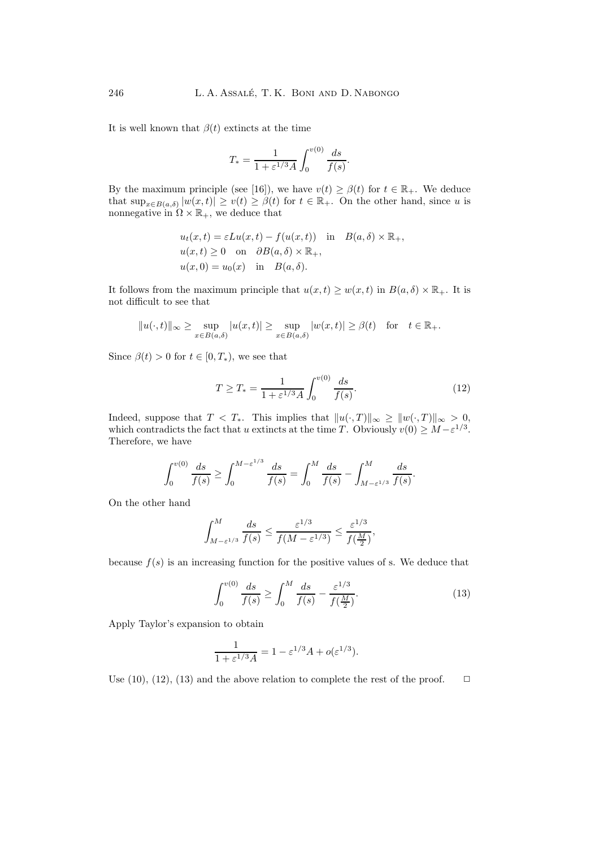It is well known that  $\beta(t)$  extincts at the time

$$
T_* = \frac{1}{1 + \varepsilon^{1/3} A} \int_0^{v(0)} \frac{ds}{f(s)}.
$$

By the maximum principle (see [16]), we have  $v(t) \ge \beta(t)$  for  $t \in \mathbb{R}_+$ . We deduce that  $\sup_{x\in B(a,\delta)} |w(x,t)| \ge v(t) \ge \beta(t)$  for  $t \in \mathbb{R}_+$ . On the other hand, since u is nonnegative in  $\Omega \times \mathbb{R}_+$ , we deduce that

$$
u_t(x,t) = \varepsilon Lu(x,t) - f(u(x,t)) \text{ in } B(a, \delta) \times \mathbb{R}_+,
$$
  
 
$$
u(x,t) \ge 0 \text{ on } \partial B(a, \delta) \times \mathbb{R}_+,
$$
  
 
$$
u(x,0) = u_0(x) \text{ in } B(a, \delta).
$$

It follows from the maximum principle that  $u(x,t) \geq w(x,t)$  in  $B(a,\delta) \times \mathbb{R}_+$ . It is not difficult to see that

$$
\|u(\cdot,t)\|_\infty\geq \sup_{x\in B(a,\delta)}|u(x,t)|\geq \sup_{x\in B(a,\delta)}|w(x,t)|\geq \beta(t)\quad \text{for}\quad t\in\mathbb{R}_+.
$$

Since  $\beta(t) > 0$  for  $t \in [0, T_*)$ , we see that

$$
T \ge T_* = \frac{1}{1 + \varepsilon^{1/3} A} \int_0^{v(0)} \frac{ds}{f(s)}.
$$
 (12)

Indeed, suppose that  $T < T_*$ . This implies that  $||u(\cdot,T)||_{\infty} \geq ||w(\cdot,T)||_{\infty} > 0$ , which contradicts the fact that u extincts at the time T. Obviously  $v(0) \geq M - \varepsilon^{1/3}$ . Therefore, we have

$$
\int_0^{v(0)} \frac{ds}{f(s)} \ge \int_0^{M-\varepsilon^{1/3}} \frac{ds}{f(s)} = \int_0^M \frac{ds}{f(s)} - \int_{M-\varepsilon^{1/3}}^M \frac{ds}{f(s)}.
$$

On the other hand

$$
\int_{M-\varepsilon^{1/3}}^M \frac{ds}{f(s)} \le \frac{\varepsilon^{1/3}}{f(M-\varepsilon^{1/3})} \le \frac{\varepsilon^{1/3}}{f(\frac{M}{2})},
$$

because  $f(s)$  is an increasing function for the positive values of s. We deduce that

$$
\int_0^{v(0)} \frac{ds}{f(s)} \ge \int_0^M \frac{ds}{f(s)} - \frac{\varepsilon^{1/3}}{f(\frac{M}{2})}.\tag{13}
$$

ApplyTaylor's expansion to obtain

$$
\frac{1}{1+\varepsilon^{1/3}A} = 1 - \varepsilon^{1/3}A + o(\varepsilon^{1/3}).
$$

Use (10), (12), (13) and the above relation to complete the rest of the proof.  $\Box$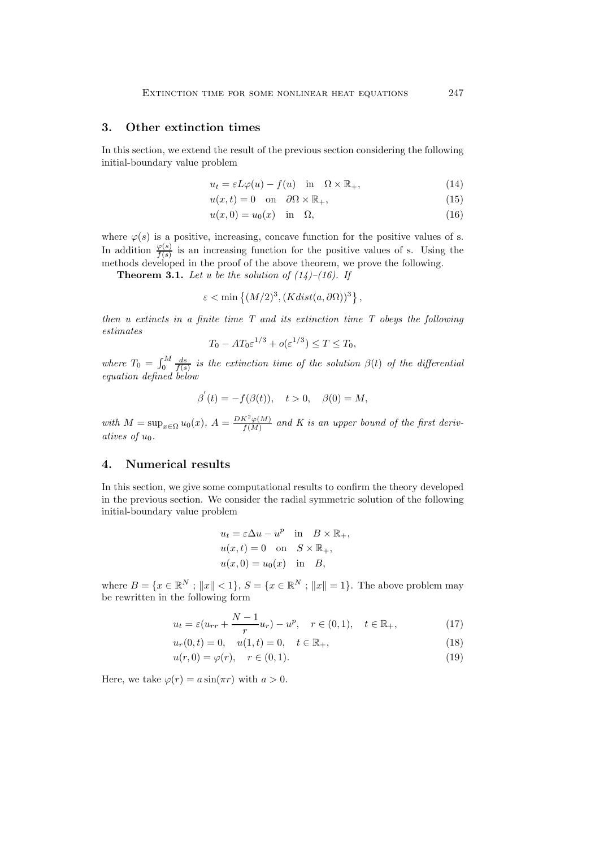#### **3. Other extinction times**

In this section, we extend the result of the previous section considering the following initial-boundary value problem

$$
u_t = \varepsilon L\varphi(u) - f(u) \quad \text{in} \quad \Omega \times \mathbb{R}_+, \tag{14}
$$

$$
u(x,t) = 0 \quad \text{on} \quad \partial\Omega \times \mathbb{R}_+, \tag{15}
$$

$$
u(x,0) = u_0(x) \quad \text{in} \quad \Omega,\tag{16}
$$

where  $\varphi(s)$  is a positive, increasing, concave function for the positive values of s. In addition  $\frac{\varphi(s)}{f(s)}$  is an increasing function for the positive values of s. Using the methods developed in the proof of the above theorem, we prove the following.

**Theorem 3.1.** Let u be the solution of  $(14)$ – $(16)$ . If

$$
\varepsilon < \min\left\{ (M/2)^3, (Kdist(a, \partial\Omega))^3 \right\},\
$$

*then u extincts in a finite time T and its extinction time T obeys the following estimates*

$$
T_0 - AT_0\varepsilon^{1/3} + o(\varepsilon^{1/3}) \le T \le T_0,
$$

where  $T_0 = \int_0^M \frac{ds}{f(s)}$  is the extinction time of the solution  $\beta(t)$  of the differential *equation defined below*

$$
\beta'(t) = -f(\beta(t)), \quad t > 0, \quad \beta(0) = M,
$$

with  $M = \sup_{x \in \Omega} u_0(x)$ ,  $A = \frac{DK^2\varphi(M)}{f(M)}$  and K is an upper bound of the first deriv*atives of*  $u_0$ *.* 

#### **4. Numerical results**

In this section, we give some computational results to confirm the theorydeveloped in the previous section. We consider the radial symmetric solution of the following initial-boundary value problem

$$
u_t = \varepsilon \Delta u - u^p \quad \text{in} \quad B \times \mathbb{R}_+,
$$
  
 
$$
u(x,t) = 0 \quad \text{on} \quad S \times \mathbb{R}_+,
$$
  
 
$$
u(x,0) = u_0(x) \quad \text{in} \quad B,
$$

where  $B = \{x \in \mathbb{R}^N : ||x|| < 1\}$ ,  $S = \{x \in \mathbb{R}^N : ||x|| = 1\}$ . The above problem may be rewritten in the following form

$$
u_t = \varepsilon (u_{rr} + \frac{N-1}{r} u_r) - u^p, \quad r \in (0,1), \quad t \in \mathbb{R}_+,
$$
 (17)

$$
u_r(0,t) = 0, \quad u(1,t) = 0, \quad t \in \mathbb{R}_+, \tag{18}
$$

$$
u(r,0) = \varphi(r), \quad r \in (0,1). \tag{19}
$$

Here, we take  $\varphi(r) = a \sin(\pi r)$  with  $a > 0$ .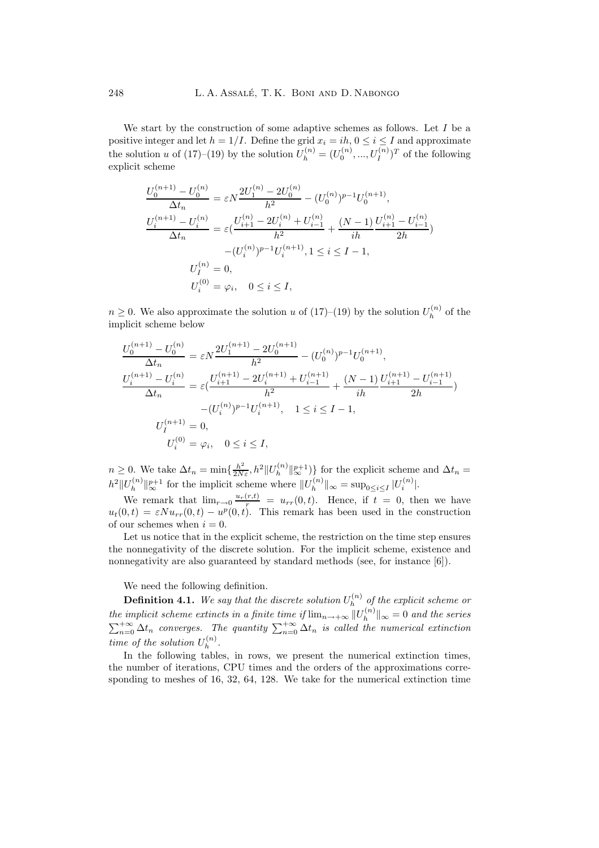We start by the construction of some adaptive schemes as follows. Let  $I$  be a positive integer and let  $h = 1/I$ . Define the grid  $x_i = ih, 0 \le i \le I$  and approximate the solution u of  $(17)$ – $(19)$  by the solution  $U_h^{(n)} = (U_0^{(n)}, ..., U_I^{(n)})^T$  of the following explicit scheme

$$
\frac{U_0^{(n+1)} - U_0^{(n)}}{\Delta t_n} = \varepsilon N \frac{2U_1^{(n)} - 2U_0^{(n)}}{h^2} - (U_0^{(n)})^{p-1}U_0^{(n+1)},
$$
  

$$
\frac{U_i^{(n+1)} - U_i^{(n)}}{\Delta t_n} = \varepsilon \left(\frac{U_{i+1}^{(n)} - 2U_i^{(n)} + U_{i-1}^{(n)}}{h^2} + \frac{(N-1)U_{i+1}^{(n)} - U_{i-1}^{(n)}}{2h}\right)
$$

$$
-(U_i^{(n)})^{p-1}U_i^{(n+1)}, 1 \le i \le I-1,
$$

$$
U_i^{(n)} = 0,
$$

$$
U_i^{(0)} = \varphi_i, \quad 0 \le i \le I,
$$

 $n \geq 0$ . We also approximate the solution u of  $(17)-(19)$  by the solution  $U_h^{(n)}$  of the implicit scheme below

$$
\frac{U_0^{(n+1)} - U_0^{(n)}}{\Delta t_n} = \varepsilon N \frac{2U_1^{(n+1)} - 2U_0^{(n+1)}}{h^2} - (U_0^{(n)})^{p-1}U_0^{(n+1)},
$$
\n
$$
\frac{U_i^{(n+1)} - U_i^{(n)}}{\Delta t_n} = \varepsilon \left(\frac{U_{i+1}^{(n+1)} - 2U_i^{(n+1)} + U_{i-1}^{(n+1)}}{h^2} + \frac{(N-1)U_{i+1}^{(n+1)} - U_{i-1}^{(n+1)}}{2h}\right)
$$
\n
$$
-(U_i^{(n)})^{p-1}U_i^{(n+1)}, \quad 1 \le i \le I-1,
$$
\n
$$
U_I^{(n+1)} = 0,
$$
\n
$$
U_i^{(0)} = \varphi_i, \quad 0 \le i \le I,
$$

 $n \geq 0$ . We take  $\Delta t_n = \min\{\frac{h^2}{2N\varepsilon}, h^2 || U_h^{(n)} ||_{\infty}^{p+1})\}$  for the explicit scheme and  $\Delta t_n =$  $h^2 ||U_h^{(n)}||_{\infty}^{p+1}$  for the implicit scheme where  $||U_h^{(n)}||_{\infty} = \sup_{0 \le i \le I} |U_i^{(n)}|$ .

We remark that  $\lim_{r\to 0} \frac{u_r(r,t)}{r} = u_{rr}(0,t)$ . Hence, if  $t = 0$ , then we have  $u_t(0,t) = \varepsilon N u_{rr}(0,t) - u^p(0,t)$ . This remark has been used in the construction of our schemes when  $i = 0$ .

Let us notice that in the explicit scheme, the restriction on the time step ensures the nonnegativity of the discrete solution. For the implicit scheme, existence and nonnegativity are also guaranteed by standard methods (see, for instance [6]).

We need the following definition.

**Definition 4.1.** We say that the discrete solution  $U_h^{(n)}$  of the explicit scheme or *the implicit scheme extincts in a finite time if*  $\lim_{n\to+\infty}||U_h^{(n)}||_{\infty} = 0$  *and the series*  $\sum_{n=0}^{+\infty} \Delta t_n$  converges. The quantity  $\sum_{n=0}^{+\infty} \Delta t_n$  is called the numerical extinction *time of the solution*  $U_h^{(n)}$ .

In the following tables, in rows, we present the numerical extinction times, the number of iterations, CPU times and the orders of the approximations corresponding to meshes of 16, 32, 64, 128. We take for the numerical extinction time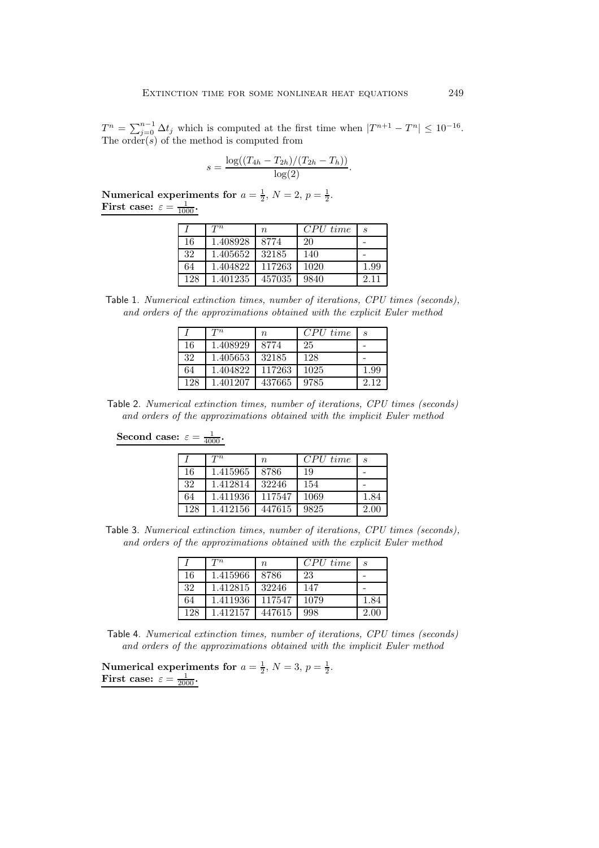$T^n = \sum_{j=0}^{n-1} \Delta t_j$  which is computed at the first time when  $|T^{n+1} - T^n| \leq 10^{-16}$ . The order( $s$ ) of the method is computed from

$$
s = \frac{\log((T_{4h} - T_{2h})/(T_{2h} - T_h))}{\log(2)}.
$$

**Numerical experiments for**  $a = \frac{1}{2}$ ,  $N = 2$ ,  $p = \frac{1}{2}$ . **First case:**  $\varepsilon = \frac{1}{1000}$ .

|     | $T^n$    | $\boldsymbol{n}$ | $CPU\ time$ | S    |
|-----|----------|------------------|-------------|------|
| 16  | 1.408928 | 8774             | 20          |      |
| 32  | 1.405652 | 32185            | 140         |      |
| 64  | 1.404822 | 117263           | 1020        | 1.99 |
| 128 | 1.401235 | 457035           | 9840        | 2.11 |

Table 1. *Numerical extinction times, number of iterations, CPU times (seconds), and orders of the approximations obtained with the explicit Euler method*

|     | $T^n$    | $n_{\cdot}$ | CPU time | S    |
|-----|----------|-------------|----------|------|
| 16  | 1.408929 | 8774        | 25       |      |
| 32  | 1.405653 | 32185       | 128      |      |
| 64  | 1.404822 | 117263      | 1025     | 1.99 |
| 128 | 1.401207 | 437665      | 9785     | 2.12 |

Table 2. *Numerical extinction times, number of iterations, CPU times (seconds) and orders of the approximations obtained with the implicit Euler method*

# **Second case:**  $\varepsilon = \frac{1}{4000}$ .

|     | $T^n$    | n      | CPU time | $\mathcal{S}_{0}$ |
|-----|----------|--------|----------|-------------------|
| 16  | 1.415965 | 8786   | 19       |                   |
| 32  | 1.412814 | 32246  | 154      |                   |
| 64  | 1.411936 | 117547 | 1069     | 1.84              |
| 128 | 1.412156 | 447615 | 9825     | 2.00              |

Table 3. *Numerical extinction times, number of iterations, CPU times (seconds), and orders of the approximations obtained with the explicit Euler method*

|     | $T^n$    | $n_{\rm}$ | CPU time | S    |
|-----|----------|-----------|----------|------|
| 16  | 1.415966 | 8786      | 23       |      |
| 32  | 1.412815 | 32246     | 147      |      |
| 64  | 1.411936 | 117547    | 1079     | 1.84 |
| 128 | 1 412157 | 447615    | 998      | 2.00 |

Table 4. *Numerical extinction times, number of iterations, CPU times (seconds) and orders of the approximations obtained with the implicit Euler method*

|                                              | Numerical experiments for $a = \frac{1}{2}$ , $N = 3$ , $p = \frac{1}{2}$ . |  |  |
|----------------------------------------------|-----------------------------------------------------------------------------|--|--|
| First case: $\varepsilon = \frac{1}{2000}$ . |                                                                             |  |  |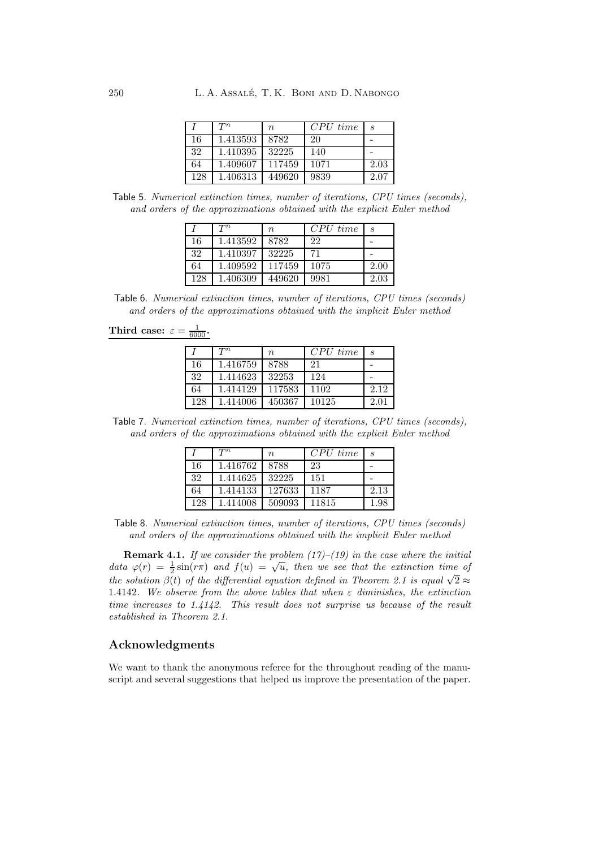|     | $T^n$    | $\it n$ | CPU time | S    |
|-----|----------|---------|----------|------|
| 16  | 1.413593 | 8782    | 20       |      |
| 32  | 1.410395 | 32225   | 140      |      |
| 64  | 1.409607 | 117459  | 1071     | 2.03 |
| 128 | 1.406313 | 449620  | 9839     | 2.07 |

Table 5. *Numerical extinction times, number of iterations, CPU times (seconds), and orders of the approximations obtained with the explicit Euler method*

|     | $T^n$    | $n_{\rm}$ | $CPU\ time$ | S    |
|-----|----------|-----------|-------------|------|
| 16  | 1.413592 | 8782      | 22          |      |
| 32  | 1.410397 | 32225     | 71          |      |
| 64  | 1.409592 | 117459    | 1075        | 2.00 |
| 128 | 1.406309 | 449620    | 9981        | 2.03 |

Table 6. *Numerical extinction times, number of iterations, CPU times (seconds) and orders of the approximations obtained with the implicit Euler method*

Third case:  $\varepsilon = \frac{1}{6000}$ .

|     | $T^n$    | $\it n$ | $CPU\ time$ | $\mathcal{S}_{\mathcal{S}}$ |
|-----|----------|---------|-------------|-----------------------------|
| 16  | 1.416759 | 8788    | 21          |                             |
| 32  | 1.414623 | 32253   | 124         |                             |
| 64  | 1.414129 | 117583  | 1102        | 2.12                        |
| 128 | 1.414006 | 450367  | 10125       | 2.01                        |

Table 7. *Numerical extinction times, number of iterations, CPU times (seconds), and orders of the approximations obtained with the explicit Euler method*

|     | $T^n$    | $n_{\rm s}$ | $CPU\ time$ | $\mathcal{S}_{\mathcal{S}}$ |
|-----|----------|-------------|-------------|-----------------------------|
| 16  | 1.416762 | 8788        | 23          |                             |
| 32  | 1.414625 | 32225       | 151         |                             |
| 64  | 1.414133 | 127633      | 1187        | 2.13                        |
| 128 | 1.414008 | 509093      | 11815       | 1.98                        |

Table 8. *Numerical extinction times, number of iterations, CPU times (seconds) and orders of the approximations obtained with the implicit Euler method*

**Remark 4.1.** *If we consider the problem (17)–(19) in the case where the initial data*  $\varphi(r) = \frac{1}{2} \sin(r\pi)$  *and*  $f(u) = \sqrt{u}$ *, then we see that the extinction time of the solution*  $\beta(t)$  *of the differential equation defined in Theorem 2.1 is equal*  $\sqrt{2} \approx$ 1.4142*. We observe from the above tables that when* ε *diminishes, the extinction time increases to 1.4142. This result does not surprise us because of the result established in Theorem 2.1.*

#### **Acknowledgments**

We want to thank the anonymous referee for the throughout reading of the manuscript and several suggestions that helped us improve the presentation of the paper.